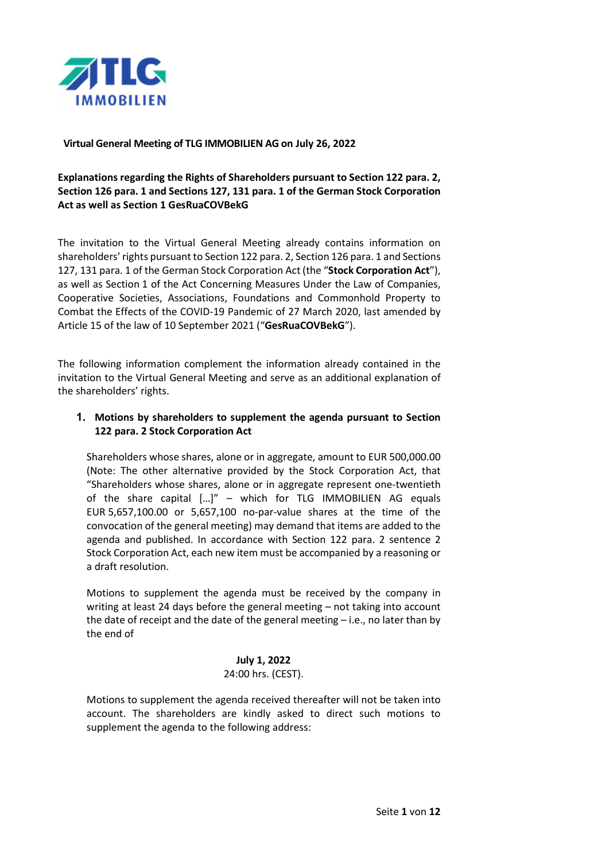

#### Virtual General Meeting of TLG IMMOBILIEN AG on July 26, 2022

Explanations regarding the Rights of Shareholders pursuant to Section 122 para. 2, Section 126 para. 1 and Sections 127, 131 para. 1 of the German Stock Corporation Act as well as Section 1 GesRuaCOVBekG

The invitation to the Virtual General Meeting already contains information on shareholders' rights pursuant to Section 122 para. 2, Section 126 para. 1 and Sections 127, 131 para. 1 of the German Stock Corporation Act (the "Stock Corporation Act"), as well as Section 1 of the Act Concerning Measures Under the Law of Companies, Cooperative Societies, Associations, Foundations and Commonhold Property to Combat the Effects of the COVID-19 Pandemic of 27 March 2020, last amended by Article 15 of the law of 10 September 2021 ("GesRuaCOVBekG").

The following information complement the information already contained in the invitation to the Virtual General Meeting and serve as an additional explanation of the shareholders' rights.

## 1. Motions by shareholders to supplement the agenda pursuant to Section 122 para. 2 Stock Corporation Act

Shareholders whose shares, alone or in aggregate, amount to EUR 500,000.00 (Note: The other alternative provided by the Stock Corporation Act, that "Shareholders whose shares, alone or in aggregate represent one-twentieth of the share capital […]" – which for TLG IMMOBILIEN AG equals EUR 5,657,100.00 or 5,657,100 no-par-value shares at the time of the convocation of the general meeting) may demand that items are added to the agenda and published. In accordance with Section 122 para. 2 sentence 2 Stock Corporation Act, each new item must be accompanied by a reasoning or a draft resolution.

Motions to supplement the agenda must be received by the company in writing at least 24 days before the general meeting – not taking into account the date of receipt and the date of the general meeting – i.e., no later than by the end of

# July 1, 2022

# 24:00 hrs. (CEST).

Motions to supplement the agenda received thereafter will not be taken into account. The shareholders are kindly asked to direct such motions to supplement the agenda to the following address: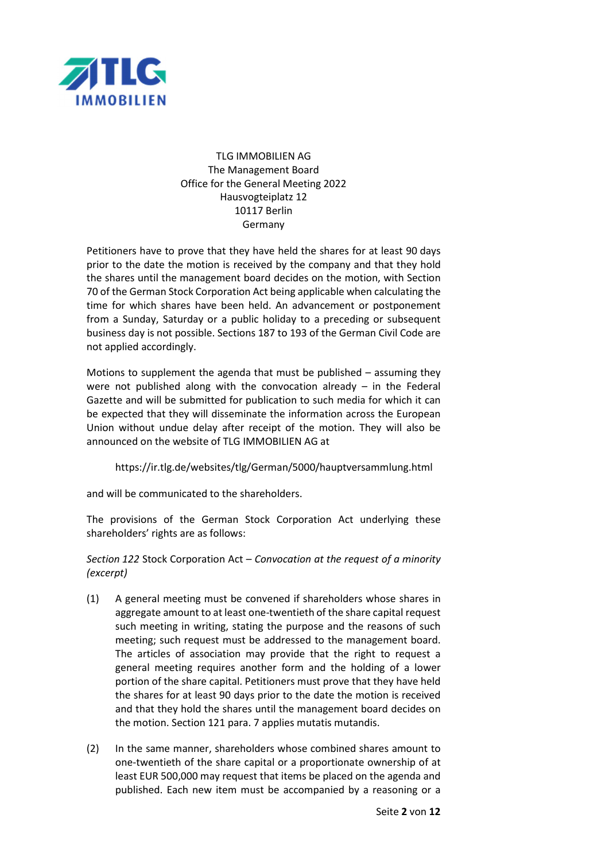

# TI G IMMOBILIEN AG The Management Board Office for the General Meeting 2022 Hausvogteiplatz 12 10117 Berlin Germany

Petitioners have to prove that they have held the shares for at least 90 days prior to the date the motion is received by the company and that they hold the shares until the management board decides on the motion, with Section 70 of the German Stock Corporation Act being applicable when calculating the time for which shares have been held. An advancement or postponement from a Sunday, Saturday or a public holiday to a preceding or subsequent business day is not possible. Sections 187 to 193 of the German Civil Code are not applied accordingly.

Motions to supplement the agenda that must be published – assuming they were not published along with the convocation already  $-$  in the Federal Gazette and will be submitted for publication to such media for which it can be expected that they will disseminate the information across the European Union without undue delay after receipt of the motion. They will also be announced on the website of TLG IMMOBILIEN AG at

https://ir.tlg.de/websites/tlg/German/5000/hauptversammlung.html

and will be communicated to the shareholders.

The provisions of the German Stock Corporation Act underlying these shareholders' rights are as follows:

Section 122 Stock Corporation Act – Convocation at the request of a minority (excerpt)

- (1) A general meeting must be convened if shareholders whose shares in aggregate amount to at least one-twentieth of the share capital request such meeting in writing, stating the purpose and the reasons of such meeting; such request must be addressed to the management board. The articles of association may provide that the right to request a general meeting requires another form and the holding of a lower portion of the share capital. Petitioners must prove that they have held the shares for at least 90 days prior to the date the motion is received and that they hold the shares until the management board decides on the motion. Section 121 para. 7 applies mutatis mutandis.
- (2) In the same manner, shareholders whose combined shares amount to one-twentieth of the share capital or a proportionate ownership of at least EUR 500,000 may request that items be placed on the agenda and published. Each new item must be accompanied by a reasoning or a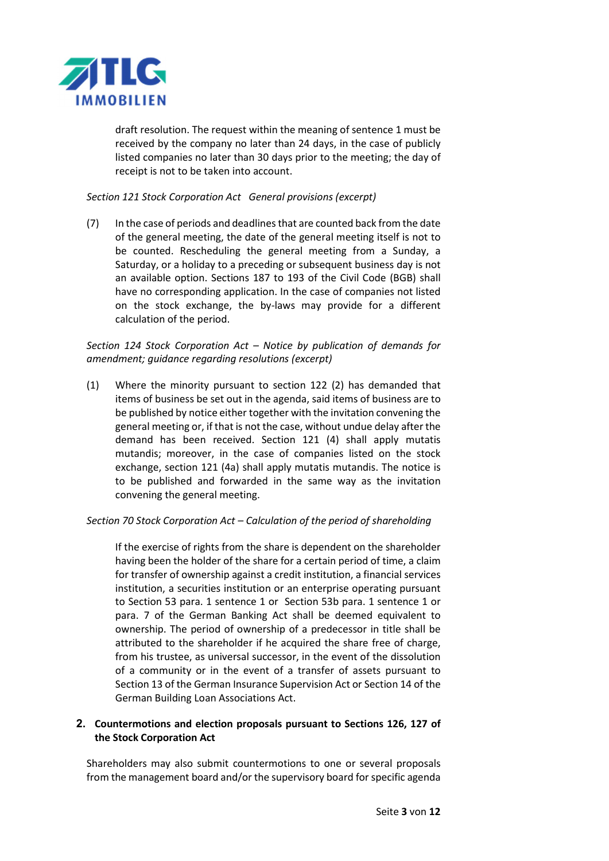

draft resolution. The request within the meaning of sentence 1 must be received by the company no later than 24 days, in the case of publicly listed companies no later than 30 days prior to the meeting; the day of receipt is not to be taken into account.

#### Section 121 Stock Corporation Act General provisions (excerpt)

(7) In the case of periods and deadlines that are counted back from the date of the general meeting, the date of the general meeting itself is not to be counted. Rescheduling the general meeting from a Sunday, a Saturday, or a holiday to a preceding or subsequent business day is not an available option. Sections 187 to 193 of the Civil Code (BGB) shall have no corresponding application. In the case of companies not listed on the stock exchange, the by-laws may provide for a different calculation of the period.

## Section 124 Stock Corporation Act – Notice by publication of demands for amendment; guidance regarding resolutions (excerpt)

(1) Where the minority pursuant to section 122 (2) has demanded that items of business be set out in the agenda, said items of business are to be published by notice either together with the invitation convening the general meeting or, if that is not the case, without undue delay after the demand has been received. Section 121 (4) shall apply mutatis mutandis; moreover, in the case of companies listed on the stock exchange, section 121 (4a) shall apply mutatis mutandis. The notice is to be published and forwarded in the same way as the invitation convening the general meeting.

## Section 70 Stock Corporation Act – Calculation of the period of shareholding

 If the exercise of rights from the share is dependent on the shareholder having been the holder of the share for a certain period of time, a claim for transfer of ownership against a credit institution, a financial services institution, a securities institution or an enterprise operating pursuant to Section 53 para. 1 sentence 1 or Section 53b para. 1 sentence 1 or para. 7 of the German Banking Act shall be deemed equivalent to ownership. The period of ownership of a predecessor in title shall be attributed to the shareholder if he acquired the share free of charge, from his trustee, as universal successor, in the event of the dissolution of a community or in the event of a transfer of assets pursuant to Section 13 of the German Insurance Supervision Act or Section 14 of the German Building Loan Associations Act.

## 2. Countermotions and election proposals pursuant to Sections 126, 127 of the Stock Corporation Act

Shareholders may also submit countermotions to one or several proposals from the management board and/or the supervisory board for specific agenda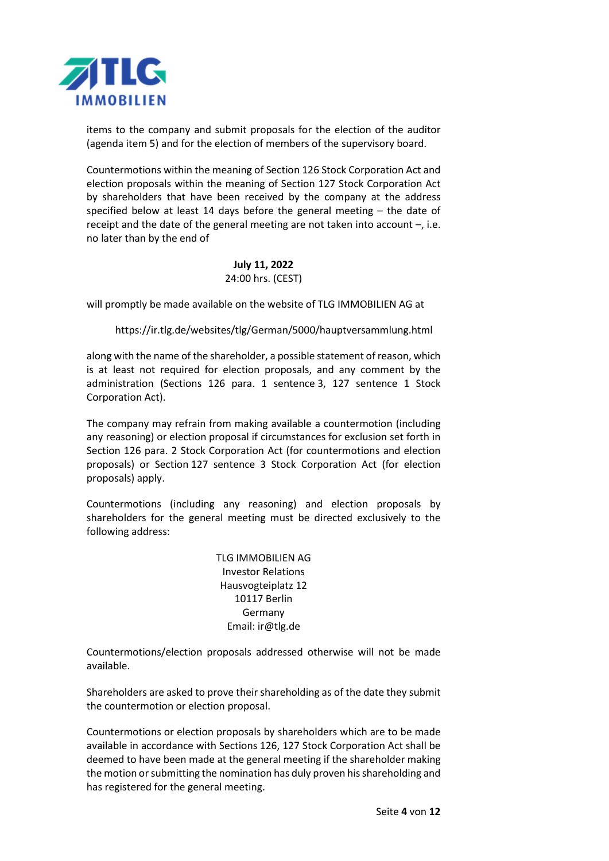

items to the company and submit proposals for the election of the auditor (agenda item 5) and for the election of members of the supervisory board.

Countermotions within the meaning of Section 126 Stock Corporation Act and election proposals within the meaning of Section 127 Stock Corporation Act by shareholders that have been received by the company at the address specified below at least 14 days before the general meeting – the date of receipt and the date of the general meeting are not taken into account –, i.e. no later than by the end of

#### July 11, 2022 24:00 hrs. (CEST)

will promptly be made available on the website of TLG IMMOBILIEN AG at

https://ir.tlg.de/websites/tlg/German/5000/hauptversammlung.html

along with the name of the shareholder, a possible statement of reason, which is at least not required for election proposals, and any comment by the administration (Sections 126 para. 1 sentence 3, 127 sentence 1 Stock Corporation Act).

The company may refrain from making available a countermotion (including any reasoning) or election proposal if circumstances for exclusion set forth in Section 126 para. 2 Stock Corporation Act (for countermotions and election proposals) or Section 127 sentence 3 Stock Corporation Act (for election proposals) apply.

Countermotions (including any reasoning) and election proposals by shareholders for the general meeting must be directed exclusively to the following address:

> TLG IMMOBILIEN AG Investor Relations Hausvogteiplatz 12 10117 Berlin Germany Email: ir@tlg.de

Countermotions/election proposals addressed otherwise will not be made available.

Shareholders are asked to prove their shareholding as of the date they submit the countermotion or election proposal.

Countermotions or election proposals by shareholders which are to be made available in accordance with Sections 126, 127 Stock Corporation Act shall be deemed to have been made at the general meeting if the shareholder making the motion or submitting the nomination has duly proven his shareholding and has registered for the general meeting.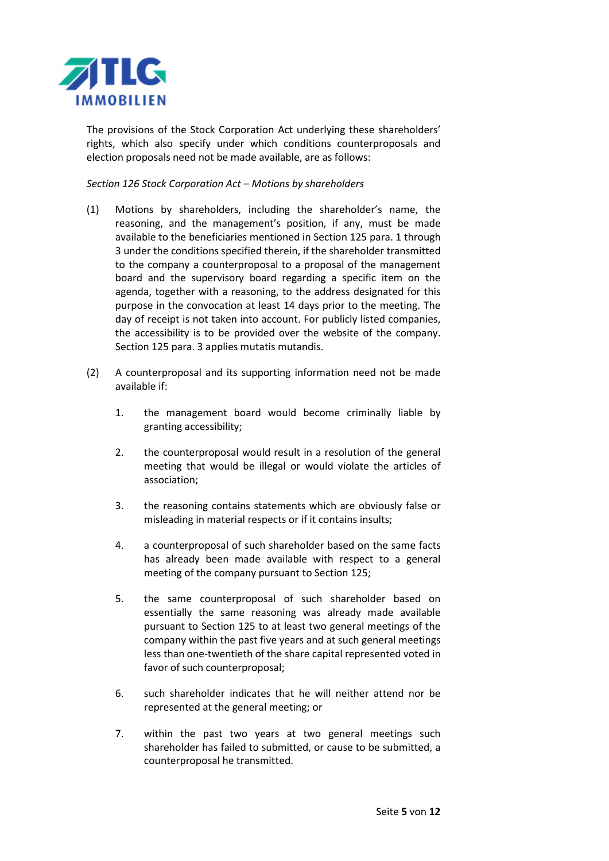

The provisions of the Stock Corporation Act underlying these shareholders' rights, which also specify under which conditions counterproposals and election proposals need not be made available, are as follows:

Section 126 Stock Corporation Act – Motions by shareholders

- (1) Motions by shareholders, including the shareholder's name, the reasoning, and the management's position, if any, must be made available to the beneficiaries mentioned in Section 125 para. 1 through 3 under the conditions specified therein, if the shareholder transmitted to the company a counterproposal to a proposal of the management board and the supervisory board regarding a specific item on the agenda, together with a reasoning, to the address designated for this purpose in the convocation at least 14 days prior to the meeting. The day of receipt is not taken into account. For publicly listed companies, the accessibility is to be provided over the website of the company. Section 125 para. 3 applies mutatis mutandis.
- (2) A counterproposal and its supporting information need not be made available if:
	- 1. the management board would become criminally liable by granting accessibility;
	- 2. the counterproposal would result in a resolution of the general meeting that would be illegal or would violate the articles of association;
	- 3. the reasoning contains statements which are obviously false or misleading in material respects or if it contains insults;
	- 4. a counterproposal of such shareholder based on the same facts has already been made available with respect to a general meeting of the company pursuant to Section 125;
	- 5. the same counterproposal of such shareholder based on essentially the same reasoning was already made available pursuant to Section 125 to at least two general meetings of the company within the past five years and at such general meetings less than one-twentieth of the share capital represented voted in favor of such counterproposal;
	- 6. such shareholder indicates that he will neither attend nor be represented at the general meeting; or
	- 7. within the past two years at two general meetings such shareholder has failed to submitted, or cause to be submitted, a counterproposal he transmitted.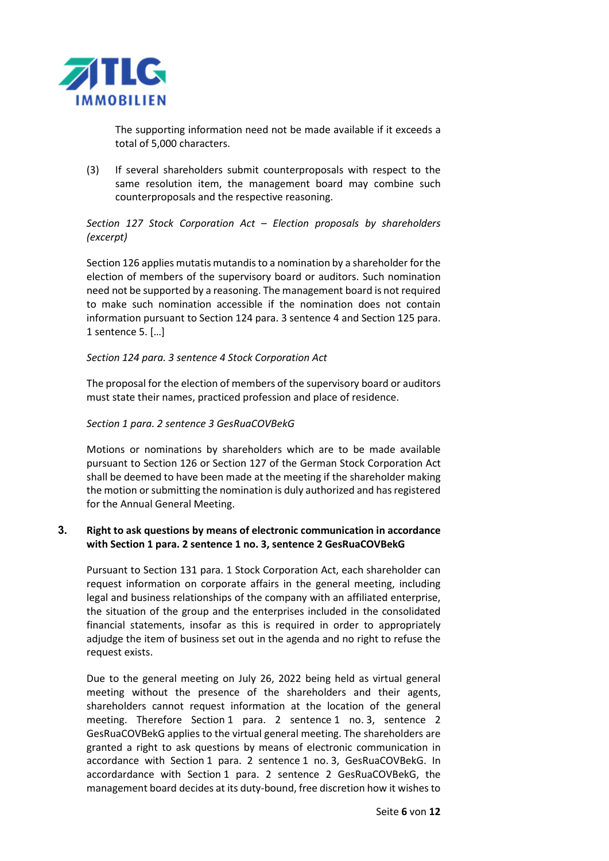

The supporting information need not be made available if it exceeds a total of 5,000 characters.

(3) If several shareholders submit counterproposals with respect to the same resolution item, the management board may combine such counterproposals and the respective reasoning.

## Section 127 Stock Corporation Act – Election proposals by shareholders (excerpt)

Section 126 applies mutatis mutandis to a nomination by a shareholder for the election of members of the supervisory board or auditors. Such nomination need not be supported by a reasoning. The management board is not required to make such nomination accessible if the nomination does not contain information pursuant to Section 124 para. 3 sentence 4 and Section 125 para. 1 sentence 5. […]

## Section 124 para. 3 sentence 4 Stock Corporation Act

The proposal for the election of members of the supervisory board or auditors must state their names, practiced profession and place of residence.

## Section 1 para. 2 sentence 3 GesRuaCOVBekG

Motions or nominations by shareholders which are to be made available pursuant to Section 126 or Section 127 of the German Stock Corporation Act shall be deemed to have been made at the meeting if the shareholder making the motion or submitting the nomination is duly authorized and has registered for the Annual General Meeting.

## 3. Right to ask questions by means of electronic communication in accordance with Section 1 para. 2 sentence 1 no. 3, sentence 2 GesRuaCOVBekG

Pursuant to Section 131 para. 1 Stock Corporation Act, each shareholder can request information on corporate affairs in the general meeting, including legal and business relationships of the company with an affiliated enterprise, the situation of the group and the enterprises included in the consolidated financial statements, insofar as this is required in order to appropriately adjudge the item of business set out in the agenda and no right to refuse the request exists.

Due to the general meeting on July 26, 2022 being held as virtual general meeting without the presence of the shareholders and their agents, shareholders cannot request information at the location of the general meeting. Therefore Section 1 para. 2 sentence 1 no. 3, sentence 2 GesRuaCOVBekG applies to the virtual general meeting. The shareholders are granted a right to ask questions by means of electronic communication in accordance with Section 1 para. 2 sentence 1 no. 3, GesRuaCOVBekG. In accordardance with Section 1 para. 2 sentence 2 GesRuaCOVBekG, the management board decides at its duty-bound, free discretion how it wishes to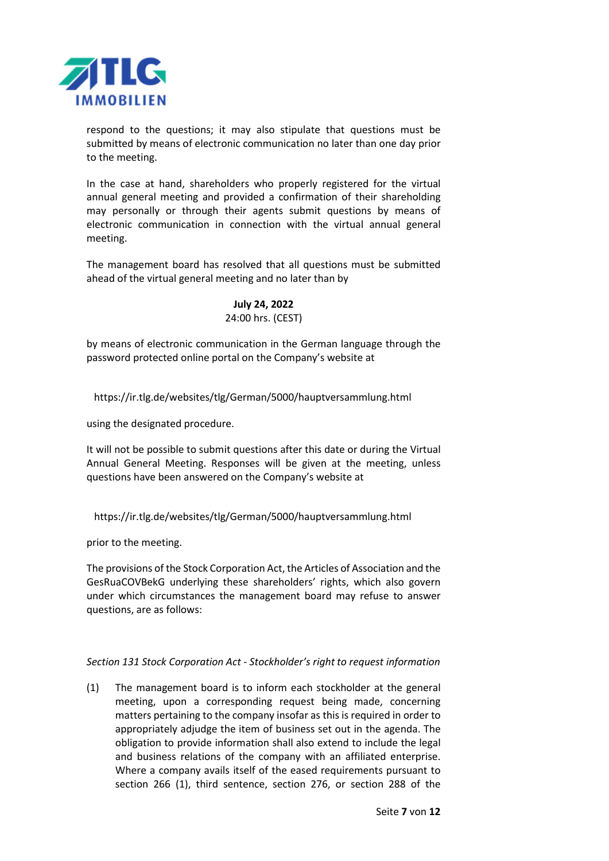

respond to the questions; it may also stipulate that questions must be submitted by means of electronic communication no later than one day prior to the meeting.

In the case at hand, shareholders who properly registered for the virtual annual general meeting and provided a confirmation of their shareholding may personally or through their agents submit questions by means of electronic communication in connection with the virtual annual general meeting.

The management board has resolved that all questions must be submitted ahead of the virtual general meeting and no later than by

## July 24, 2022 24:00 hrs. (CEST)

by means of electronic communication in the German language through the password protected online portal on the Company's website at

https://ir.tlg.de/websites/tlg/German/5000/hauptversammlung.html

using the designated procedure.

It will not be possible to submit questions after this date or during the Virtual Annual General Meeting. Responses will be given at the meeting, unless questions have been answered on the Company's website at

https://ir.tlg.de/websites/tlg/German/5000/hauptversammlung.html

prior to the meeting.

The provisions of the Stock Corporation Act, the Articles of Association and the GesRuaCOVBekG underlying these shareholders' rights, which also govern under which circumstances the management board may refuse to answer questions, are as follows:

#### Section 131 Stock Corporation Act - Stockholder's right to request information

(1) The management board is to inform each stockholder at the general meeting, upon a corresponding request being made, concerning matters pertaining to the company insofar as this is required in order to appropriately adjudge the item of business set out in the agenda. The obligation to provide information shall also extend to include the legal and business relations of the company with an affiliated enterprise. Where a company avails itself of the eased requirements pursuant to section 266 (1), third sentence, section 276, or section 288 of the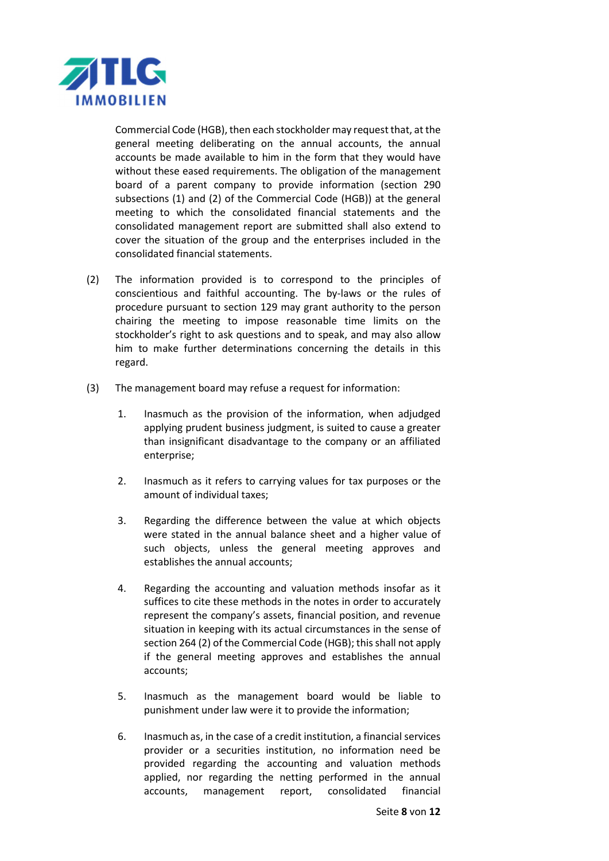

Commercial Code (HGB), then each stockholder may request that, at the general meeting deliberating on the annual accounts, the annual accounts be made available to him in the form that they would have without these eased requirements. The obligation of the management board of a parent company to provide information (section 290 subsections (1) and (2) of the Commercial Code (HGB)) at the general meeting to which the consolidated financial statements and the consolidated management report are submitted shall also extend to cover the situation of the group and the enterprises included in the consolidated financial statements.

- (2) The information provided is to correspond to the principles of conscientious and faithful accounting. The by-laws or the rules of procedure pursuant to section 129 may grant authority to the person chairing the meeting to impose reasonable time limits on the stockholder's right to ask questions and to speak, and may also allow him to make further determinations concerning the details in this regard.
- (3) The management board may refuse a request for information:
	- 1. Inasmuch as the provision of the information, when adjudged applying prudent business judgment, is suited to cause a greater than insignificant disadvantage to the company or an affiliated enterprise;
	- 2. Inasmuch as it refers to carrying values for tax purposes or the amount of individual taxes;
	- 3. Regarding the difference between the value at which objects were stated in the annual balance sheet and a higher value of such objects, unless the general meeting approves and establishes the annual accounts;
	- 4. Regarding the accounting and valuation methods insofar as it suffices to cite these methods in the notes in order to accurately represent the company's assets, financial position, and revenue situation in keeping with its actual circumstances in the sense of section 264 (2) of the Commercial Code (HGB); this shall not apply if the general meeting approves and establishes the annual accounts;
	- 5. Inasmuch as the management board would be liable to punishment under law were it to provide the information;
	- 6. Inasmuch as, in the case of a credit institution, a financial services provider or a securities institution, no information need be provided regarding the accounting and valuation methods applied, nor regarding the netting performed in the annual accounts, management report, consolidated financial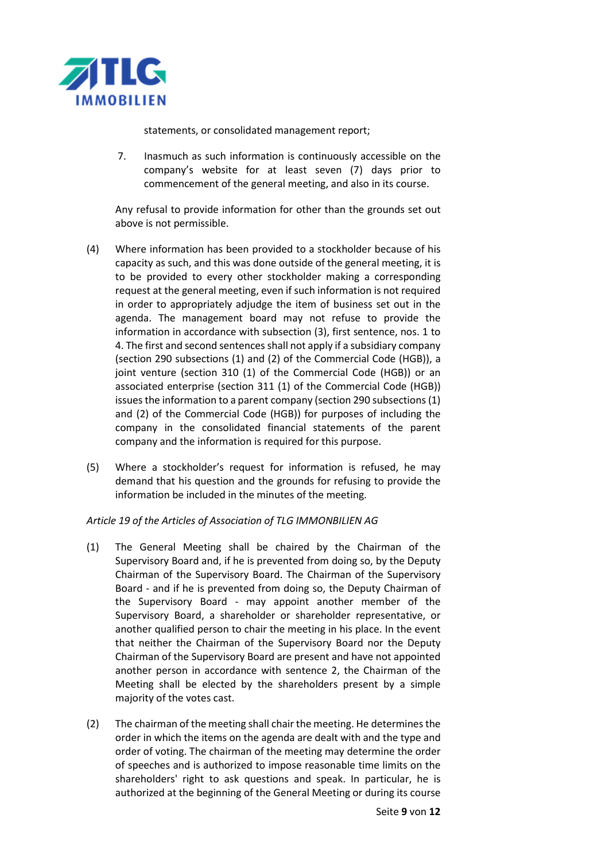

statements, or consolidated management report;

7. Inasmuch as such information is continuously accessible on the company's website for at least seven (7) days prior to commencement of the general meeting, and also in its course.

 Any refusal to provide information for other than the grounds set out above is not permissible.

- (4) Where information has been provided to a stockholder because of his capacity as such, and this was done outside of the general meeting, it is to be provided to every other stockholder making a corresponding request at the general meeting, even if such information is not required in order to appropriately adjudge the item of business set out in the agenda. The management board may not refuse to provide the information in accordance with subsection (3), first sentence, nos. 1 to 4. The first and second sentences shall not apply if a subsidiary company (section 290 subsections (1) and (2) of the Commercial Code (HGB)), a joint venture (section 310 (1) of the Commercial Code (HGB)) or an associated enterprise (section 311 (1) of the Commercial Code (HGB)) issues the information to a parent company (section 290 subsections (1) and (2) of the Commercial Code (HGB)) for purposes of including the company in the consolidated financial statements of the parent company and the information is required for this purpose.
- (5) Where a stockholder's request for information is refused, he may demand that his question and the grounds for refusing to provide the information be included in the minutes of the meeting.

## Article 19 of the Articles of Association of TLG IMMONBILIEN AG

- (1) The General Meeting shall be chaired by the Chairman of the Supervisory Board and, if he is prevented from doing so, by the Deputy Chairman of the Supervisory Board. The Chairman of the Supervisory Board - and if he is prevented from doing so, the Deputy Chairman of the Supervisory Board - may appoint another member of the Supervisory Board, a shareholder or shareholder representative, or another qualified person to chair the meeting in his place. In the event that neither the Chairman of the Supervisory Board nor the Deputy Chairman of the Supervisory Board are present and have not appointed another person in accordance with sentence 2, the Chairman of the Meeting shall be elected by the shareholders present by a simple majority of the votes cast.
- (2) The chairman of the meeting shall chair the meeting. He determines the order in which the items on the agenda are dealt with and the type and order of voting. The chairman of the meeting may determine the order of speeches and is authorized to impose reasonable time limits on the shareholders' right to ask questions and speak. In particular, he is authorized at the beginning of the General Meeting or during its course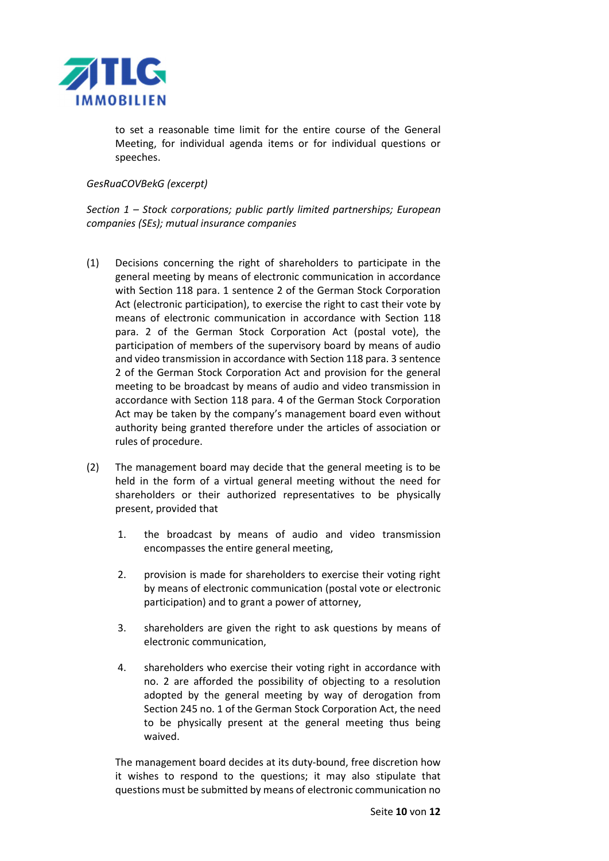

to set a reasonable time limit for the entire course of the General Meeting, for individual agenda items or for individual questions or speeches.

#### GesRuaCOVBekG (excerpt)

Section 1 – Stock corporations; public partly limited partnerships; European companies (SEs); mutual insurance companies

- (1) Decisions concerning the right of shareholders to participate in the general meeting by means of electronic communication in accordance with Section 118 para. 1 sentence 2 of the German Stock Corporation Act (electronic participation), to exercise the right to cast their vote by means of electronic communication in accordance with Section 118 para. 2 of the German Stock Corporation Act (postal vote), the participation of members of the supervisory board by means of audio and video transmission in accordance with Section 118 para. 3 sentence 2 of the German Stock Corporation Act and provision for the general meeting to be broadcast by means of audio and video transmission in accordance with Section 118 para. 4 of the German Stock Corporation Act may be taken by the company's management board even without authority being granted therefore under the articles of association or rules of procedure.
- (2) The management board may decide that the general meeting is to be held in the form of a virtual general meeting without the need for shareholders or their authorized representatives to be physically present, provided that
	- 1. the broadcast by means of audio and video transmission encompasses the entire general meeting,
	- 2. provision is made for shareholders to exercise their voting right by means of electronic communication (postal vote or electronic participation) and to grant a power of attorney,
	- 3. shareholders are given the right to ask questions by means of electronic communication,
	- 4. shareholders who exercise their voting right in accordance with no. 2 are afforded the possibility of objecting to a resolution adopted by the general meeting by way of derogation from Section 245 no. 1 of the German Stock Corporation Act, the need to be physically present at the general meeting thus being waived.

 The management board decides at its duty-bound, free discretion how it wishes to respond to the questions; it may also stipulate that questions must be submitted by means of electronic communication no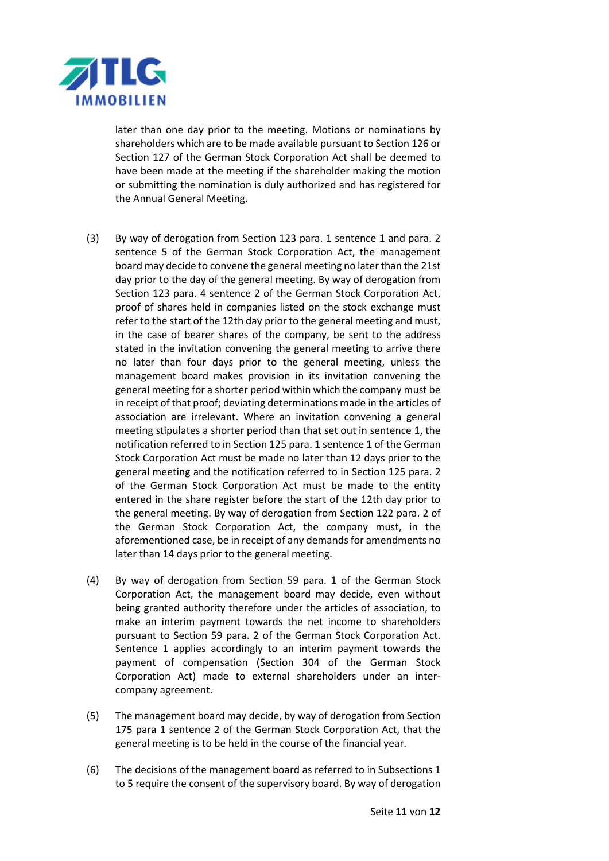

later than one day prior to the meeting. Motions or nominations by shareholders which are to be made available pursuant to Section 126 or Section 127 of the German Stock Corporation Act shall be deemed to have been made at the meeting if the shareholder making the motion or submitting the nomination is duly authorized and has registered for the Annual General Meeting.

- (3) By way of derogation from Section 123 para. 1 sentence 1 and para. 2 sentence 5 of the German Stock Corporation Act, the management board may decide to convene the general meeting no later than the 21st day prior to the day of the general meeting. By way of derogation from Section 123 para. 4 sentence 2 of the German Stock Corporation Act, proof of shares held in companies listed on the stock exchange must refer to the start of the 12th day prior to the general meeting and must, in the case of bearer shares of the company, be sent to the address stated in the invitation convening the general meeting to arrive there no later than four days prior to the general meeting, unless the management board makes provision in its invitation convening the general meeting for a shorter period within which the company must be in receipt of that proof; deviating determinations made in the articles of association are irrelevant. Where an invitation convening a general meeting stipulates a shorter period than that set out in sentence 1, the notification referred to in Section 125 para. 1 sentence 1 of the German Stock Corporation Act must be made no later than 12 days prior to the general meeting and the notification referred to in Section 125 para. 2 of the German Stock Corporation Act must be made to the entity entered in the share register before the start of the 12th day prior to the general meeting. By way of derogation from Section 122 para. 2 of the German Stock Corporation Act, the company must, in the aforementioned case, be in receipt of any demands for amendments no later than 14 days prior to the general meeting.
- (4) By way of derogation from Section 59 para. 1 of the German Stock Corporation Act, the management board may decide, even without being granted authority therefore under the articles of association, to make an interim payment towards the net income to shareholders pursuant to Section 59 para. 2 of the German Stock Corporation Act. Sentence 1 applies accordingly to an interim payment towards the payment of compensation (Section 304 of the German Stock Corporation Act) made to external shareholders under an intercompany agreement.
- (5) The management board may decide, by way of derogation from Section 175 para 1 sentence 2 of the German Stock Corporation Act, that the general meeting is to be held in the course of the financial year.
- (6) The decisions of the management board as referred to in Subsections 1 to 5 require the consent of the supervisory board. By way of derogation